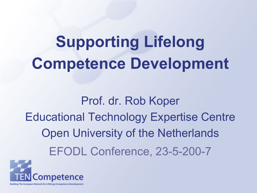# **Supporting Lifelong Competence Development**

Prof. dr. Rob Koper Educational Technology Expertise Centre Open University of the Netherlands EFODL Conference, 23-5-200-7

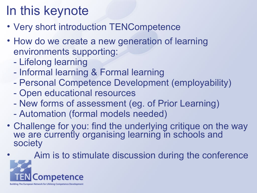## In this keynote

- Very short introduction TENCompetence
- How do we create a new generation of learning environments supporting:
	- Lifelong learning
	- Informal learning & Formal learning
	- Personal Competence Development (employability)
	- Open educational resources
	- New forms of assessment (eg. of Prior Learning)
	- Automation (formal models needed)
- Challenge for you: find the underlying critique on the way we are currently organising learning in schools and society

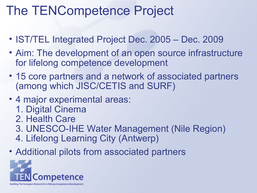## The TENCompetence Project

- IST/TEL Integrated Project Dec. 2005 Dec. 2009
- Aim: The development of an open source infrastructure for lifelong competence development
- 15 core partners and a network of associated partners (among which JISC/CETIS and SURF)
- 4 major experimental areas:
	- 1. Digital Cinema
	- 2. Health Care
	- 3. UNESCO-IHE Water Management (Nile Region)
	- 4. Lifelong Learning City (Antwerp)
- Additional pilots from associated partners

![](_page_2_Picture_10.jpeg)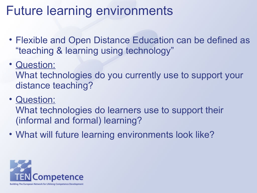## Future learning environments

- Flexible and Open Distance Education can be defined as "teaching & learning using technology"
- Question:

What technologies do you currently use to support your distance teaching?

• Question:

What technologies do learners use to support their (informal and formal) learning?

• What will future learning environments look like?

![](_page_3_Picture_7.jpeg)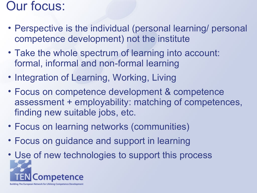#### Our focus:

- Perspective is the individual (personal learning/ personal competence development) not the institute
- Take the whole spectrum of learning into account: formal, informal and non-formal learning
- Integration of Learning, Working, Living
- Focus on competence development & competence assessment + employability: matching of competences, finding new suitable jobs, etc.
- Focus on learning networks (communities)
- Focus on guidance and support in learning
- Use of new technologies to support this process **Competence** Building The European Network for Lifelong Competence Development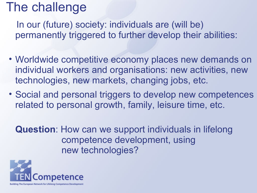## The challenge

 In our (future) society: individuals are (will be) permanently triggered to further develop their abilities:

- Worldwide competitive economy places new demands on individual workers and organisations: new activities, new technologies, new markets, changing jobs, etc.
- Social and personal triggers to develop new competences related to personal growth, family, leisure time, etc.

**Question**: How can we support individuals in lifelong competence development, using new technologies?

![](_page_5_Picture_5.jpeg)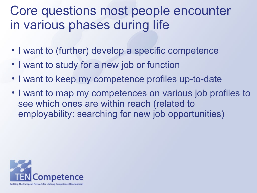## Core questions most people encounter in various phases during life

- I want to (further) develop a specific competence
- I want to study for a new job or function
- I want to keep my competence profiles up-to-date
- I want to map my competences on various job profiles to see which ones are within reach (related to employability: searching for new job opportunities)

![](_page_6_Picture_5.jpeg)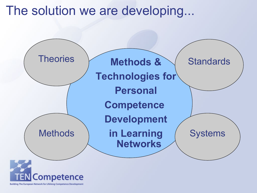The solution we are developing...

![](_page_7_Figure_1.jpeg)

![](_page_7_Picture_2.jpeg)

Building The European Network for Lifelong Competence Development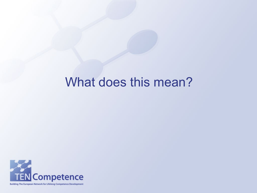#### What does this mean?

![](_page_8_Picture_1.jpeg)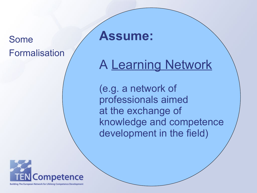#### Some Formalisation

**Assume:**

## A Learning Network

(e.g. a network of professionals aimed at the exchange of knowledge and competence development in the field)

![](_page_9_Picture_4.jpeg)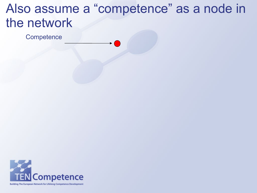## Also assume a "competence" as a node in the network

**Competence** 

![](_page_10_Picture_2.jpeg)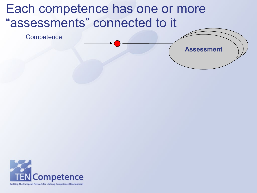## Each competence has one or more "assessments" connected to it

**Competence** 

![](_page_11_Picture_2.jpeg)

![](_page_11_Picture_3.jpeg)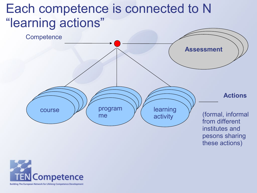## Each competence is connected to N "learning actions"

![](_page_12_Figure_1.jpeg)

![](_page_12_Picture_2.jpeg)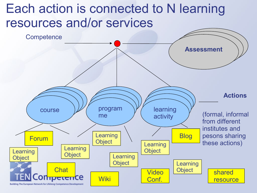## Each action is connected to N learning resources and/or services

![](_page_13_Figure_1.jpeg)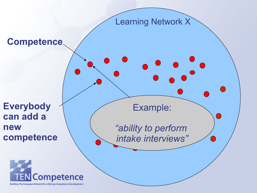![](_page_14_Figure_0.jpeg)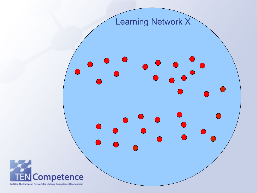![](_page_15_Picture_0.jpeg)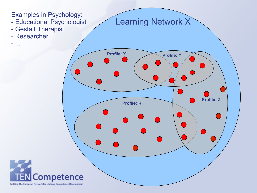![](_page_16_Figure_0.jpeg)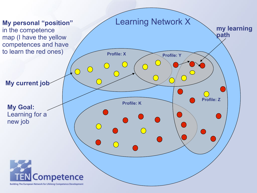![](_page_17_Figure_0.jpeg)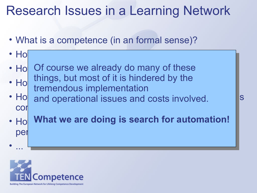## Research Issues in a Learning Network

• What is a competence (in an formal sense)?

• How to measure my  $\bullet$  how to measure my  $\bullet$ 

- Ho Of course we already do many of these •  $H_0$   $\begin{array}{c}$  things, but most of it is influence by the  $\begin{array}{c} \bullet \end{array}$ things, but most of it is hindered by the tremendous implementation
- Ho and operational issues and costs involved.  $\begin{array}{|l|} \hline \text{S} \end{array}$ con<mark>nected to each competence?</mark>
- Ho What we are doing is search for automation! personal competence management? The competence management of  $\mathcal{C}$

![](_page_18_Picture_5.jpeg)

• ...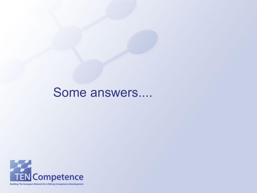#### Some answers....

![](_page_19_Picture_1.jpeg)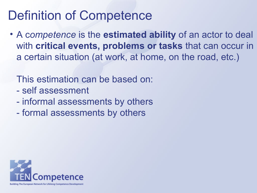## Definition of Competence

• A c*ompetence* is the **estimated ability** of an actor to deal with **critical events, problems or tasks** that can occur in a certain situation (at work, at home, on the road, etc.)

This estimation can be based on:

- self assessment
- informal assessments by others
- formal assessments by others

![](_page_20_Picture_6.jpeg)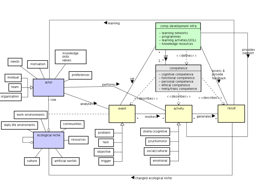![](_page_21_Figure_0.jpeg)

<br />
dentistance of ecological niche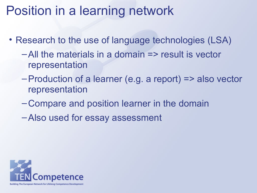## Position in a learning network

- Research to the use of language technologies (LSA)
	- –All the materials in a domain => result is vector representation
	- –Production of a learner (e.g. a report) => also vector representation
	- –Compare and position learner in the domain
	- –Also used for essay assessment

![](_page_22_Picture_6.jpeg)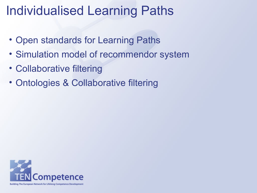## Individualised Learning Paths

- Open standards for Learning Paths
- Simulation model of recommendor system
- Collaborative filtering
- Ontologies & Collaborative filtering

![](_page_23_Picture_5.jpeg)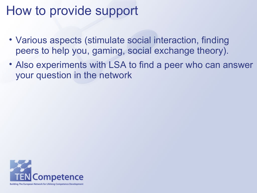## How to provide support

- Various aspects (stimulate social interaction, finding peers to help you, gaming, social exchange theory).
- Also experiments with LSA to find a peer who can answer your question in the network

![](_page_24_Picture_3.jpeg)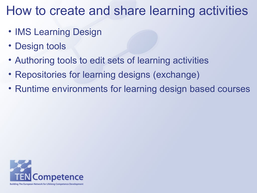## How to create and share learning activities

- IMS Learning Design
- Design tools
- Authoring tools to edit sets of learning activities
- Repositories for learning designs (exchange)
- Runtime environments for learning design based courses

![](_page_25_Picture_6.jpeg)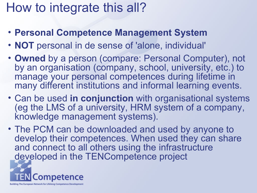## How to integrate this all?

- **Personal Competence Management System**
- **NOT** personal in de sense of 'alone, individual'
- **Owned** by a person (compare: Personal Computer), not by an organisation (company, school, university, etc.) to manage your personal competences during lifetime in many different institutions and informal learning events.
- Can be used **in conjunction** with organisational systems (eg the LMS of a university, HRM system of a company, knowledge management systems).
- The PCM can be downloaded and used by anyone to develop their competences. When used they can share and connect to all others using the infrastructure developed in the TENCompetence project

![](_page_26_Picture_6.jpeg)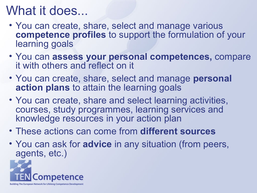## What it does...

- You can create, share, select and manage various **competence profiles** to support the formulation of your learning goals
- You can **assess your personal competences,** compare it with others and reflect on it
- You can create, share, select and manage **personal action plans** to attain the learning goals
- You can create, share and select learning activities, courses, study programmes, learning services and knowledge resources in your action plan
- These actions can come from **different sources**
- You can ask for **advice** in any situation (from peers, agents, etc.)

![](_page_27_Picture_7.jpeg)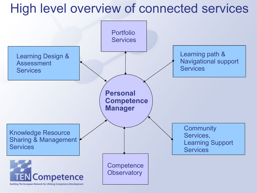## High level overview of connected services

![](_page_28_Figure_1.jpeg)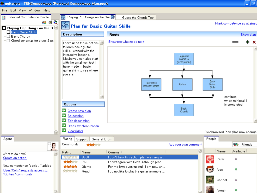![](_page_29_Figure_0.jpeg)

![](_page_29_Figure_1.jpeg)

(- 10

Ayman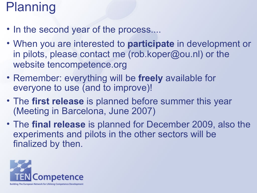## Planning

- In the second year of the process....
- When you are interested to **participate** in development or in pilots, please contact me (rob.koper@ou.nl) or the website tencompetence.org
- Remember: everything will be **freely** available for everyone to use (and to improve)!
- The **first release** is planned before summer this year (Meeting in Barcelona, June 2007)
- The **final release** is planned for December 2009, also the experiments and pilots in the other sectors will be finalized by then.

![](_page_30_Picture_6.jpeg)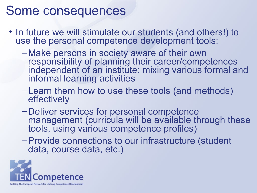## Some consequences

- In future we will stimulate our students (and others!) to use the personal competence development tools:
	- –Make persons in society aware of their own responsibility of planning their career/competences independent of an institute: mixing various formal and informal learning activities
	- –Learn them how to use these tools (and methods) effectively
	- –Deliver services for personal competence management (curricula will be available through these tools, using various competence profiles)
	- –Provide connections to our infrastructure (student data, course data, etc.)

![](_page_31_Picture_6.jpeg)